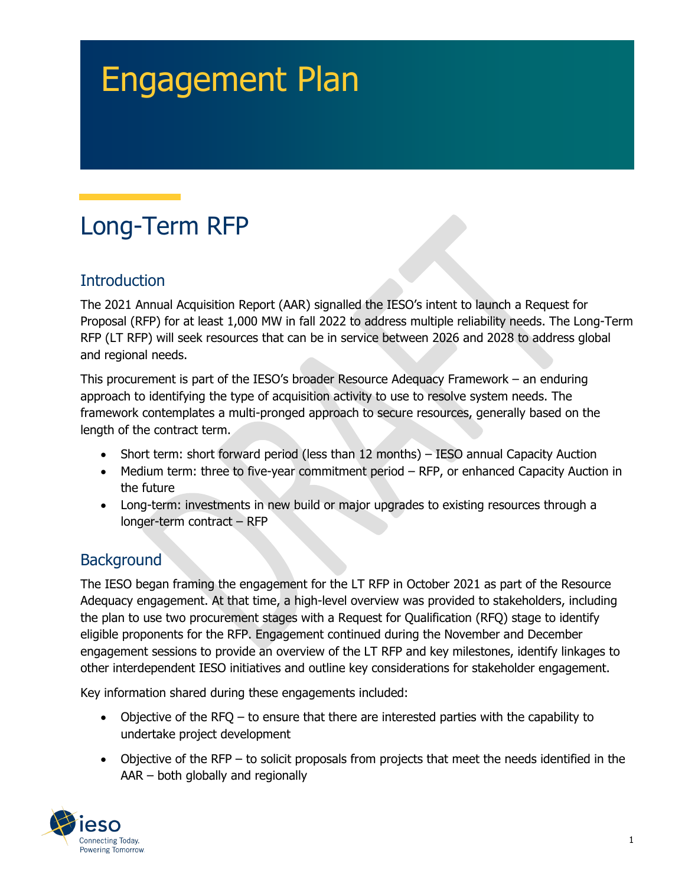# Engagement Plan

## Long-Term RFP

## **Introduction**

The 2021 Annual Acquisition Report (AAR) signalled the IESO's intent to launch a Request for Proposal (RFP) for at least 1,000 MW in fall 2022 to address multiple reliability needs. The Long-Term RFP (LT RFP) will seek resources that can be in service between 2026 and 2028 to address global and regional needs.

This procurement is part of the IESO's broader Resource Adequacy Framework – an enduring approach to identifying the type of acquisition activity to use to resolve system needs. The framework contemplates a multi-pronged approach to secure resources, generally based on the length of the contract term.

- Short term: short forward period (less than 12 months) IESO annual Capacity Auction
- Medium term: three to five-year commitment period RFP, or enhanced Capacity Auction in the future
- Long-term: investments in new build or major upgrades to existing resources through a longer-term contract – RFP

## **Background**

The IESO began framing the engagement for the LT RFP in October 2021 as part of the Resource Adequacy engagement. At that time, a high-level overview was provided to stakeholders, including the plan to use two procurement stages with a Request for Qualification (RFQ) stage to identify eligible proponents for the RFP. Engagement continued during the November and December engagement sessions to provide an overview of the LT RFP and key milestones, identify linkages to other interdependent IESO initiatives and outline key considerations for stakeholder engagement.

Key information shared during these engagements included:

- Objective of the RFQ to ensure that there are interested parties with the capability to undertake project development
- Objective of the RFP to solicit proposals from projects that meet the needs identified in the AAR – both globally and regionally

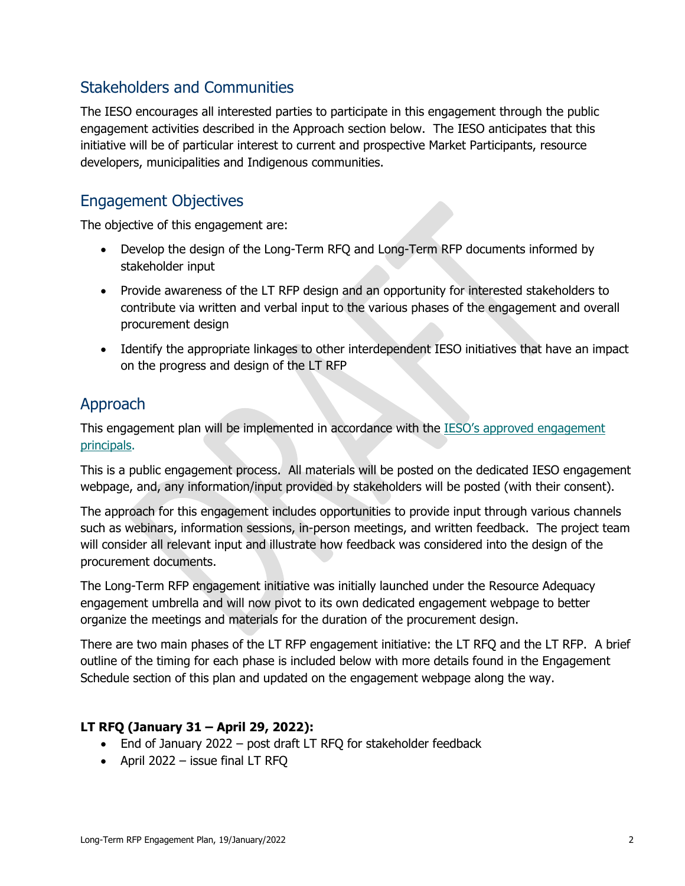## Stakeholders and Communities

The IESO encourages all interested parties to participate in this engagement through the public engagement activities described in the Approach section below. The IESO anticipates that this initiative will be of particular interest to current and prospective Market Participants, resource developers, municipalities and Indigenous communities.

#### Engagement Objectives

The objective of this engagement are:

- Develop the design of the Long-Term RFQ and Long-Term RFP documents informed by stakeholder input
- Provide awareness of the LT RFP design and an opportunity for interested stakeholders to contribute via written and verbal input to the various phases of the engagement and overall procurement design
- Identify the appropriate linkages to other interdependent IESO initiatives that have an impact on the progress and design of the LT RFP

## Approach

This engagement plan will be implemented in accordance with the **IESO's approved engagement** [principals.](https://ieso.ca/en/Sector-Participants/Engagement-Initiatives/Overview/Engagement-Principles)

This is a public engagement process. All materials will be posted on the dedicated IESO engagement webpage, and, any information/input provided by stakeholders will be posted (with their consent).

The approach for this engagement includes opportunities to provide input through various channels such as webinars, information sessions, in-person meetings, and written feedback. The project team will consider all relevant input and illustrate how feedback was considered into the design of the procurement documents.

The Long-Term RFP engagement initiative was initially launched under the Resource Adequacy engagement umbrella and will now pivot to its own dedicated engagement webpage to better organize the meetings and materials for the duration of the procurement design.

There are two main phases of the LT RFP engagement initiative: the LT RFQ and the LT RFP. A brief outline of the timing for each phase is included below with more details found in the Engagement Schedule section of this plan and updated on the engagement webpage along the way.

#### **LT RFQ (January 31 – April 29, 2022):**

- End of January 2022 post draft LT RFQ for stakeholder feedback
- April 2022 issue final LT RFQ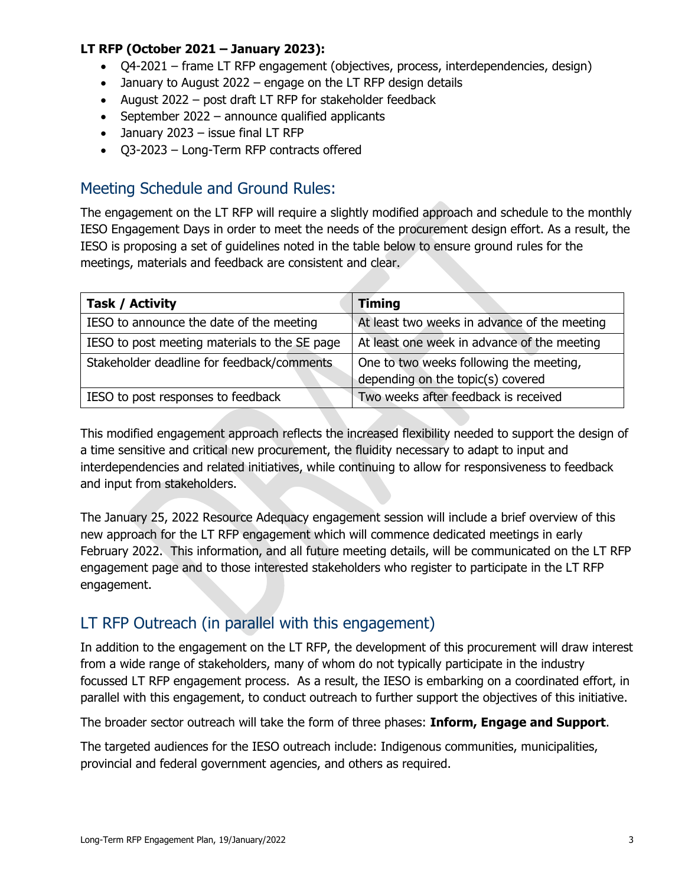#### **LT RFP (October 2021 – January 2023):**

- Q4-2021 frame LT RFP engagement (objectives, process, interdependencies, design)
- January to August 2022 engage on the LT RFP design details
- August 2022 post draft LT RFP for stakeholder feedback
- September 2022 announce qualified applicants
- January 2023 issue final LT RFP
- Q3-2023 Long-Term RFP contracts offered

### Meeting Schedule and Ground Rules:

The engagement on the LT RFP will require a slightly modified approach and schedule to the monthly IESO Engagement Days in order to meet the needs of the procurement design effort. As a result, the IESO is proposing a set of guidelines noted in the table below to ensure ground rules for the meetings, materials and feedback are consistent and clear.

| Task / Activity                               | <b>Timing</b>                                |
|-----------------------------------------------|----------------------------------------------|
| IESO to announce the date of the meeting      | At least two weeks in advance of the meeting |
| IESO to post meeting materials to the SE page | At least one week in advance of the meeting  |
| Stakeholder deadline for feedback/comments    | One to two weeks following the meeting,      |
|                                               | depending on the topic(s) covered            |
| IESO to post responses to feedback            | Two weeks after feedback is received         |

This modified engagement approach reflects the increased flexibility needed to support the design of a time sensitive and critical new procurement, the fluidity necessary to adapt to input and interdependencies and related initiatives, while continuing to allow for responsiveness to feedback and input from stakeholders.

The January 25, 2022 Resource Adequacy engagement session will include a brief overview of this new approach for the LT RFP engagement which will commence dedicated meetings in early February 2022. This information, and all future meeting details, will be communicated on the LT RFP engagement page and to those interested stakeholders who register to participate in the LT RFP engagement.

## LT RFP Outreach (in parallel with this engagement)

In addition to the engagement on the LT RFP, the development of this procurement will draw interest from a wide range of stakeholders, many of whom do not typically participate in the industry focussed LT RFP engagement process. As a result, the IESO is embarking on a coordinated effort, in parallel with this engagement, to conduct outreach to further support the objectives of this initiative.

The broader sector outreach will take the form of three phases: **Inform, Engage and Support**.

The targeted audiences for the IESO outreach include: Indigenous communities, municipalities, provincial and federal government agencies, and others as required.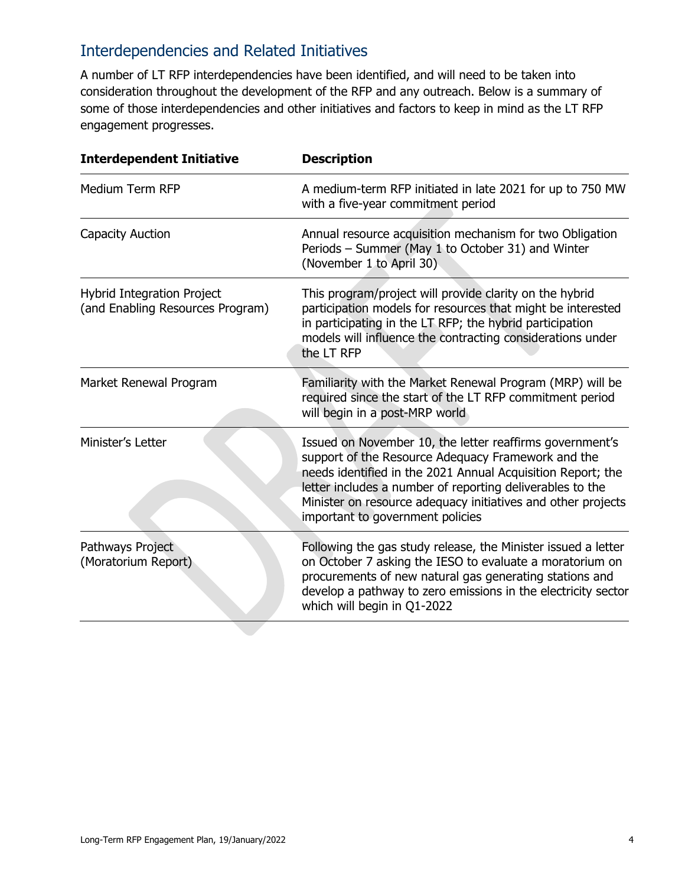## Interdependencies and Related Initiatives

A number of LT RFP interdependencies have been identified, and will need to be taken into consideration throughout the development of the RFP and any outreach. Below is a summary of some of those interdependencies and other initiatives and factors to keep in mind as the LT RFP engagement progresses.

| <b>Interdependent Initiative</b>                               | <b>Description</b>                                                                                                                                                                                                                                                                                                                             |
|----------------------------------------------------------------|------------------------------------------------------------------------------------------------------------------------------------------------------------------------------------------------------------------------------------------------------------------------------------------------------------------------------------------------|
| Medium Term RFP                                                | A medium-term RFP initiated in late 2021 for up to 750 MW<br>with a five-year commitment period                                                                                                                                                                                                                                                |
| Capacity Auction                                               | Annual resource acquisition mechanism for two Obligation<br>Periods - Summer (May 1 to October 31) and Winter<br>(November 1 to April 30)                                                                                                                                                                                                      |
| Hybrid Integration Project<br>(and Enabling Resources Program) | This program/project will provide clarity on the hybrid<br>participation models for resources that might be interested<br>in participating in the LT RFP; the hybrid participation<br>models will influence the contracting considerations under<br>the LT RFP                                                                                 |
| Market Renewal Program                                         | Familiarity with the Market Renewal Program (MRP) will be<br>required since the start of the LT RFP commitment period<br>will begin in a post-MRP world                                                                                                                                                                                        |
| Minister's Letter                                              | Issued on November 10, the letter reaffirms government's<br>support of the Resource Adequacy Framework and the<br>needs identified in the 2021 Annual Acquisition Report; the<br>letter includes a number of reporting deliverables to the<br>Minister on resource adequacy initiatives and other projects<br>important to government policies |
| Pathways Project<br>(Moratorium Report)                        | Following the gas study release, the Minister issued a letter<br>on October 7 asking the IESO to evaluate a moratorium on<br>procurements of new natural gas generating stations and<br>develop a pathway to zero emissions in the electricity sector<br>which will begin in Q1-2022                                                           |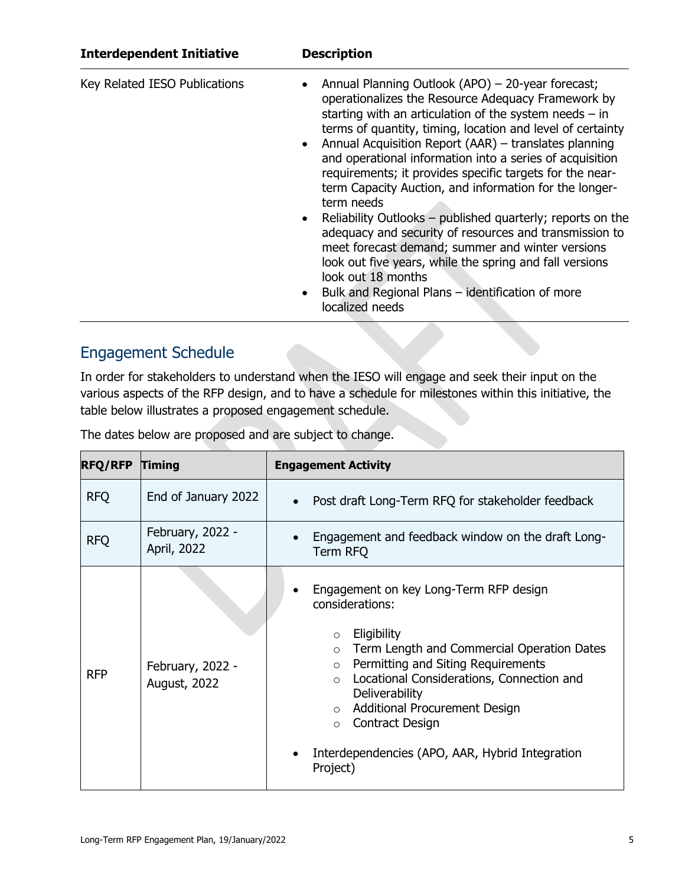| <b>Interdependent Initiative</b> | <b>Description</b>                                                                                                                                                                                                                                                                                                                                                                                                                                                                                                                                                                                                                                                                                                                                                                                                                                                 |
|----------------------------------|--------------------------------------------------------------------------------------------------------------------------------------------------------------------------------------------------------------------------------------------------------------------------------------------------------------------------------------------------------------------------------------------------------------------------------------------------------------------------------------------------------------------------------------------------------------------------------------------------------------------------------------------------------------------------------------------------------------------------------------------------------------------------------------------------------------------------------------------------------------------|
| Key Related IESO Publications    | Annual Planning Outlook (APO) – 20-year forecast;<br>٠<br>operationalizes the Resource Adequacy Framework by<br>starting with an articulation of the system needs $-$ in<br>terms of quantity, timing, location and level of certainty<br>Annual Acquisition Report (AAR) – translates planning<br>$\bullet$<br>and operational information into a series of acquisition<br>requirements; it provides specific targets for the near-<br>term Capacity Auction, and information for the longer-<br>term needs<br>Reliability Outlooks - published quarterly; reports on the<br>$\bullet$<br>adequacy and security of resources and transmission to<br>meet forecast demand; summer and winter versions<br>look out five years, while the spring and fall versions<br>look out 18 months<br>Bulk and Regional Plans - identification of more<br>٠<br>localized needs |
|                                  |                                                                                                                                                                                                                                                                                                                                                                                                                                                                                                                                                                                                                                                                                                                                                                                                                                                                    |

## Engagement Schedule

In order for stakeholders to understand when the IESO will engage and seek their input on the various aspects of the RFP design, and to have a schedule for milestones within this initiative, the table below illustrates a proposed engagement schedule.

| <b>RFQ/RFP</b> | <b>Timing</b>                    | <b>Engagement Activity</b>                                                                                                                                                                                                                                                                                                                                                                                       |
|----------------|----------------------------------|------------------------------------------------------------------------------------------------------------------------------------------------------------------------------------------------------------------------------------------------------------------------------------------------------------------------------------------------------------------------------------------------------------------|
| <b>RFQ</b>     | End of January 2022              | Post draft Long-Term RFQ for stakeholder feedback<br>$\bullet$                                                                                                                                                                                                                                                                                                                                                   |
| <b>RFQ</b>     | February, 2022 -<br>April, 2022  | Engagement and feedback window on the draft Long-<br>Term RFQ                                                                                                                                                                                                                                                                                                                                                    |
| <b>RFP</b>     | February, 2022 -<br>August, 2022 | Engagement on key Long-Term RFP design<br>considerations:<br>Eligibility<br>$\circ$<br>Term Length and Commercial Operation Dates<br>$\circ$<br>Permitting and Siting Requirements<br>$\circ$<br>Locational Considerations, Connection and<br>$\circ$<br>Deliverability<br>Additional Procurement Design<br>$\circ$<br>Contract Design<br>$\circ$<br>Interdependencies (APO, AAR, Hybrid Integration<br>Project) |

The dates below are proposed and are subject to change.